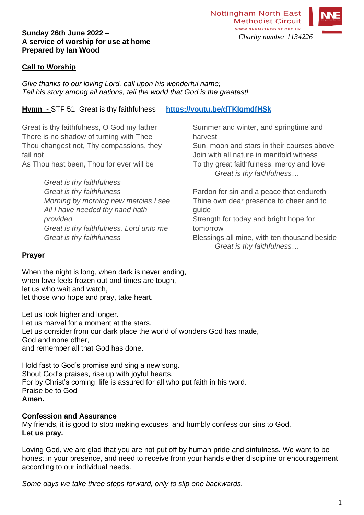### **Sunday 26th June 2022 – A service of worship for use at home Prepared by Ian Wood**

#### **Nottingham North East Methodist Circuit** WWW.NNEMETHODIST.ORG.UK *Charity number 1134226*

#### **Call to Worship**

*Give thanks to our loving Lord, call upon his wonderful name; Tell his story among all nations, tell the world that God is the greatest!*

### **Hymn -** STF 51Great is thy faithfulness **<https://youtu.be/dTKIqmdfHSk>**

Great is thy faithfulness, O God my father There is no shadow of turning with Thee Thou changest not, Thy compassions, they fail not

As Thou hast been, Thou for ever will be

*Great is thy faithfulness Great is thy faithfulness Morning by morning new mercies I see All I have needed thy hand hath provided Great is thy faithfulness, Lord unto me Great is thy faithfulness*

Summer and winter, and springtime and harvest

Sun, moon and stars in their courses above Join with all nature in manifold witness To thy great faithfulness, mercy and love *Great is thy faithfulness…*

Pardon for sin and a peace that endureth Thine own dear presence to cheer and to guide

Strength for today and bright hope for tomorrow

Blessings all mine, with ten thousand beside *Great is thy faithfulness…*

#### **Prayer**

When the night is long, when dark is never ending, when love feels frozen out and times are tough, let us who wait and watch, let those who hope and pray, take heart.

Let us look higher and longer. Let us marvel for a moment at the stars. Let us consider from our dark place the world of wonders God has made, God and none other, and remember all that God has done.

Hold fast to God's promise and sing a new song. Shout God's praises, rise up with joyful hearts. For by Christ's coming, life is assured for all who put faith in his word. Praise be to God **Amen.**

#### **Confession and Assurance**

My friends, it is good to stop making excuses, and humbly confess our sins to God. **Let us pray.**

Loving God, we are glad that you are not put off by human pride and sinfulness. We want to be honest in your presence, and need to receive from your hands either discipline or encouragement according to our individual needs.

*Some days we take three steps forward, only to slip one backwards.*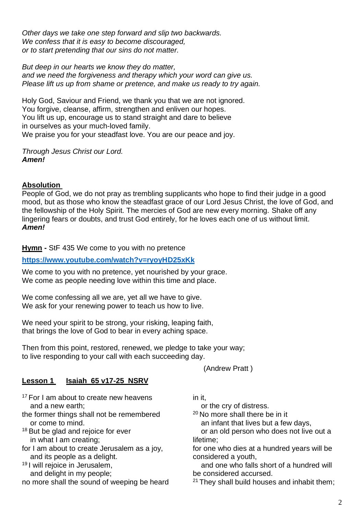*Other days we take one step forward and slip two backwards. We confess that it is easy to become discouraged, or to start pretending that our sins do not matter.*

*But deep in our hearts we know they do matter, and we need the forgiveness and therapy which your word can give us. Please lift us up from shame or pretence, and make us ready to try again.*

Holy God, Saviour and Friend, we thank you that we are not ignored. You forgive, cleanse, affirm, strengthen and enliven our hopes. You lift us up, encourage us to stand straight and dare to believe in ourselves as your much-loved family. We praise you for your steadfast love. You are our peace and joy.

*Through Jesus Christ our Lord. Amen!*

### **Absolution**

People of God, we do not pray as trembling supplicants who hope to find their judge in a good mood, but as those who know the steadfast grace of our Lord Jesus Christ, the love of God, and the fellowship of the Holy Spirit. The mercies of God are new every morning. Shake off any lingering fears or doubts, and trust God entirely, for he loves each one of us without limit. *Amen!*

**Hymn -** StF 435 We come to you with no pretence

**<https://www.youtube.com/watch?v=ryoyHD25xKk>**

We come to you with no pretence, yet nourished by your grace. We come as people needing love within this time and place.

We come confessing all we are, yet all we have to give. We ask for your renewing power to teach us how to live.

We need your spirit to be strong, your risking, leaping faith, that brings the love of God to bear in every aching space.

Then from this point, restored, renewed, we pledge to take your way; to live responding to your call with each succeeding day.

(Andrew Pratt )

### **Lesson 1 Isaiah 65 v17-25 NSRV**

- <sup>17</sup> For I am about to create new heavens and a new earth;
- the former things shall not be remembered or come to mind.
- <sup>18</sup> But be glad and rejoice for ever in what I am creating;
- for I am about to create Jerusalem as a joy, and its people as a delight.
- <sup>19</sup> I will rejoice in Jerusalem, and delight in my people;

no more shall the sound of weeping be heard

in it,

or the cry of distress.

<sup>20</sup> No more shall there be in it

an infant that lives but a few days,

 or an old person who does not live out a lifetime;

for one who dies at a hundred years will be considered a youth,

 and one who falls short of a hundred will be considered accursed.

 $21$  They shall build houses and inhabit them;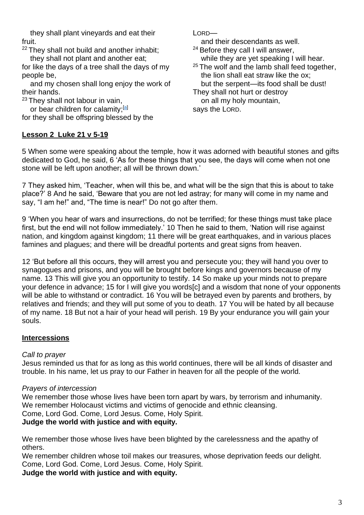they shall plant vineyards and eat their fruit.

<sup>22</sup> They shall not build and another inhabit;

they shall not plant and another eat;

for like the days of a tree shall the days of my people be,

 and my chosen shall long enjoy the work of their hands.

- <sup>23</sup> They shall not labour in vain,
- or bear children for calamity;<sup>[\[a\]](https://www.biblegateway.com/passage/?search=Isaiah+65%3A17-25&version=NRSVA#fen-NRSVA-18921a)</sup>

for they shall be offspring blessed by the

# **Lesson 2 Luke 21 v 5-19**

LORD—

- and their descendants as well.
- <sup>24</sup> Before they call I will answer, while they are yet speaking I will hear.
- $25$  The wolf and the lamb shall feed together, the lion shall eat straw like the ox; but the serpent—its food shall be dust!
- They shall not hurt or destroy on all my holy mountain, says the LORD.

5 When some were speaking about the temple, how it was adorned with beautiful stones and gifts dedicated to God, he said, 6 'As for these things that you see, the days will come when not one stone will be left upon another; all will be thrown down.'

7 They asked him, 'Teacher, when will this be, and what will be the sign that this is about to take place?' 8 And he said, 'Beware that you are not led astray; for many will come in my name and say, "I am he!" and, "The time is near!" Do not go after them.

9 'When you hear of wars and insurrections, do not be terrified; for these things must take place first, but the end will not follow immediately.' 10 Then he said to them, 'Nation will rise against nation, and kingdom against kingdom; 11 there will be great earthquakes, and in various places famines and plagues; and there will be dreadful portents and great signs from heaven.

12 'But before all this occurs, they will arrest you and persecute you; they will hand you over to synagogues and prisons, and you will be brought before kings and governors because of my name. 13 This will give you an opportunity to testify. 14 So make up your minds not to prepare your defence in advance; 15 for I will give you words[\[c\]](https://www.biblegateway.com/passage/?search=Luke+21+%3A+5-19&version=NRSVA#fen-NRSVA-25833c) and a wisdom that none of your opponents will be able to withstand or contradict. 16 You will be betrayed even by parents and brothers, by relatives and friends; and they will put some of you to death. 17 You will be hated by all because of my name. 18 But not a hair of your head will perish. 19 By your endurance you will gain your souls.

# **Intercessions**

### *Call to prayer*

Jesus reminded us that for as long as this world continues, there will be all kinds of disaster and trouble. In his name, let us pray to our Father in heaven for all the people of the world.

### *Prayers of intercession*

We remember those whose lives have been torn apart by wars, by terrorism and inhumanity. We remember Holocaust victims and victims of genocide and ethnic cleansing. Come, Lord God. Come, Lord Jesus. Come, Holy Spirit.

# **Judge the world with justice and with equity.**

We remember those whose lives have been blighted by the carelessness and the apathy of others.

We remember children whose toil makes our treasures, whose deprivation feeds our delight. Come, Lord God. Come, Lord Jesus. Come, Holy Spirit.

**Judge the world with justice and with equity.**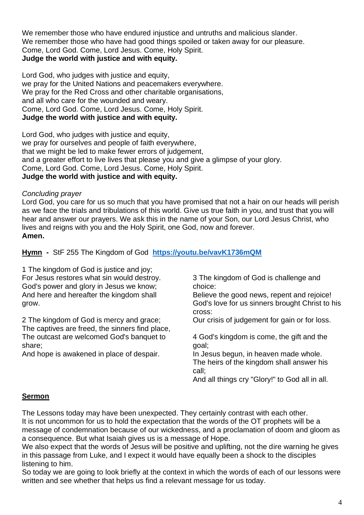We remember those who have endured injustice and untruths and malicious slander. We remember those who have had good things spoiled or taken away for our pleasure. Come, Lord God. Come, Lord Jesus. Come, Holy Spirit.

# **Judge the world with justice and with equity.**

Lord God, who judges with justice and equity, we pray for the United Nations and peacemakers everywhere. We pray for the Red Cross and other charitable organisations, and all who care for the wounded and weary. Come, Lord God. Come, Lord Jesus. Come, Holy Spirit. **Judge the world with justice and with equity.**

Lord God, who judges with justice and equity, we pray for ourselves and people of faith everywhere, that we might be led to make fewer errors of judgement, and a greater effort to live lives that please you and give a glimpse of your glory. Come, Lord God. Come, Lord Jesus. Come, Holy Spirit. **Judge the world with justice and with equity.**

### *Concluding prayer*

Lord God, you care for us so much that you have promised that not a hair on our heads will perish as we face the trials and tribulations of this world. Give us true faith in you, and trust that you will hear and answer our prayers. We ask this in the name of your Son, our Lord Jesus Christ, who lives and reigns with you and the Holy Spirit, one God, now and forever. **Amen.**

# **Hymn -** StF 255 The Kingdom of God **<https://youtu.be/vavK1736mQM>**

1 The kingdom of God is justice and joy; For Jesus restores what sin would destroy. God's power and glory in Jesus we know; And here and hereafter the kingdom shall grow.

2 The kingdom of God is mercy and grace; The captives are freed, the sinners find place, The outcast are welcomed God's banquet to share;

And hope is awakened in place of despair.

3 The kingdom of God is challenge and choice:

Believe the good news, repent and rejoice! God's love for us sinners brought Christ to his cross:

Our crisis of judgement for gain or for loss.

4 God's kingdom is come, the gift and the goal;

In Jesus begun, in heaven made whole. The heirs of the kingdom shall answer his call;

And all things cry "Glory!" to God all in all.

### **Sermon**

The Lessons today may have been unexpected. They certainly contrast with each other. It is not uncommon for us to hold the expectation that the words of the OT prophets will be a message of condemnation because of our wickedness, and a proclamation of doom and gloom as a consequence. But what Isaiah gives us is a message of Hope.

We also expect that the words of Jesus will be positive and uplifting, not the dire warning he gives in this passage from Luke, and I expect it would have equally been a shock to the disciples listening to him.

So today we are going to look briefly at the context in which the words of each of our lessons were written and see whether that helps us find a relevant message for us today.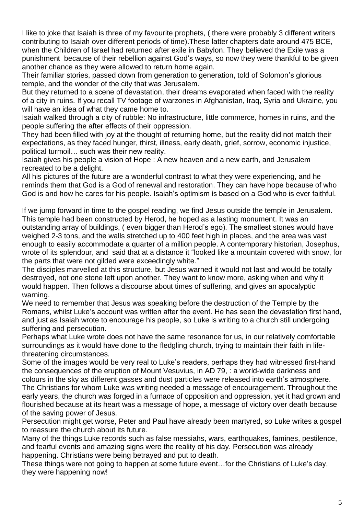I like to joke that Isaiah is three of my favourite prophets, ( there were probably 3 different writers contributing to Isaiah over different periods of time).These latter chapters date around 475 BCE, when the Children of Israel had returned after exile in Babylon. They believed the Exile was a punishment because of their rebellion against God's ways, so now they were thankful to be given another chance as they were allowed to return home again.

Their familiar stories, passed down from generation to generation, told of Solomon's glorious temple, and the wonder of the city that was Jerusalem.

But they returned to a scene of devastation, their dreams evaporated when faced with the reality of a city in ruins. If you recall TV footage of warzones in Afghanistan, Iraq, Syria and Ukraine, you will have an idea of what they came home to.

Isaiah walked through a city of rubble: No infrastructure, little commerce, homes in ruins, and the people suffering the after effects of their oppression.

They had been filled with joy at the thought of returning home, but the reality did not match their expectations, as they faced hunger, thirst, illness, early death, grief, sorrow, economic injustice, political turmoil… such was their new reality.

Isaiah gives his people a vision of Hope : A new heaven and a new earth, and Jerusalem recreated to be a delight.

All his pictures of the future are a wonderful contrast to what they were experiencing, and he reminds them that God is a God of renewal and restoration. They can have hope because of who God is and how he cares for his people. Isaiah's optimism is based on a God who is ever faithful.

If we jump forward in time to the gospel reading, we find Jesus outside the temple in Jerusalem. This temple had been constructed by Herod, he hoped as a lasting monument. It was an outstanding array of buildings, ( even bigger than Herod's ego). The smallest stones would have weighed 2-3 tons, and the walls stretched up to 400 feet high in places, and the area was vast enough to easily accommodate a quarter of a million people. A contemporary historian, Josephus, wrote of its splendour, and said that at a distance it "looked like a mountain covered with snow, for the parts that were not gilded were exceedingly white."

The disciples marvelled at this structure, but Jesus warned it would not last and would be totally destroyed, not one stone left upon another. They want to know more, asking when and why it would happen. Then follows a discourse about times of suffering, and gives an apocalyptic warning.

We need to remember that Jesus was speaking before the destruction of the Temple by the Romans, whilst Luke's account was written after the event. He has seen the devastation first hand, and just as Isaiah wrote to encourage his people, so Luke is writing to a church still undergoing suffering and persecution.

Perhaps what Luke wrote does not have the same resonance for us, in our relatively comfortable surroundings as it would have done to the fledgling church, trying to maintain their faith in lifethreatening circumstances.

Some of the images would be very real to Luke's readers, perhaps they had witnessed first-hand the consequences of the eruption of Mount Vesuvius, in AD 79, : a world-wide darkness and colours in the sky as different gasses and dust particles were released into earth's atmosphere. The Christians for whom Luke was writing needed a message of encouragement. Throughout the early years, the church was forged in a furnace of opposition and oppression, yet it had grown and flourished because at its heart was a message of hope, a message of victory over death because of the saving power of Jesus.

Persecution might get worse, Peter and Paul have already been martyred, so Luke writes a gospel to reassure the church about its future.

Many of the things Luke records such as false messiahs, wars, earthquakes, famines, pestilence, and fearful events and amazing signs were the reality of his day. Persecution was already happening. Christians were being betrayed and put to death.

These things were not going to happen at some future event…for the Christians of Luke's day, they were happening now!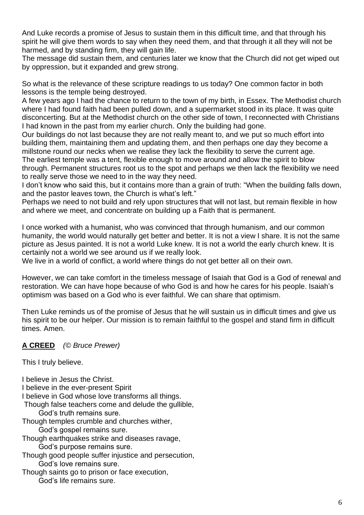And Luke records a promise of Jesus to sustain them in this difficult time, and that through his spirit he will give them words to say when they need them, and that through it all they will not be harmed, and by standing firm, they will gain life.

The message did sustain them, and centuries later we know that the Church did not get wiped out by oppression, but it expanded and grew strong.

So what is the relevance of these scripture readings to us today? One common factor in both lessons is the temple being destroyed.

A few years ago I had the chance to return to the town of my birth, in Essex. The Methodist church where I had found faith had been pulled down, and a supermarket stood in its place. It was quite disconcerting. But at the Methodist church on the other side of town, I reconnected with Christians I had known in the past from my earlier church. Only the building had gone.

Our buildings do not last because they are not really meant to, and we put so much effort into building them, maintaining them and updating them, and then perhaps one day they become a millstone round our necks when we realise they lack the flexibility to serve the current age. The earliest temple was a tent, flexible enough to move around and allow the spirit to blow through. Permanent structures root us to the spot and perhaps we then lack the flexibility we need to really serve those we need to in the way they need.

I don't know who said this, but it contains more than a grain of truth: "When the building falls down, and the pastor leaves town, the Church is what's left."

Perhaps we need to not build and rely upon structures that will not last, but remain flexible in how and where we meet, and concentrate on building up a Faith that is permanent.

I once worked with a humanist, who was convinced that through humanism, and our common humanity, the world would naturally get better and better. It is not a view I share. It is not the same picture as Jesus painted. It is not a world Luke knew. It is not a world the early church knew. It is certainly not a world we see around us if we really look.

We live in a world of conflict, a world where things do not get better all on their own.

However, we can take comfort in the timeless message of Isaiah that God is a God of renewal and restoration. We can have hope because of who God is and how he cares for his people. Isaiah's optimism was based on a God who is ever faithful. We can share that optimism.

Then Luke reminds us of the promise of Jesus that he will sustain us in difficult times and give us his spirit to be our helper. Our mission is to remain faithful to the gospel and stand firm in difficult times. Amen.

### **A CREED** *(© Bruce Prewer)*

This I truly believe.

- I believe in Jesus the Christ.
- I believe in the ever-present Spirit
- I believe in God whose love transforms all things.
- Though false teachers come and delude the gullible, God's truth remains sure.
- Though temples crumble and churches wither,
	- God's gospel remains sure.
- Though earthquakes strike and diseases ravage,
	- God's purpose remains sure.
- Though good people suffer injustice and persecution, God's love remains sure.
- Though saints go to prison or face execution,
	- God's life remains sure.